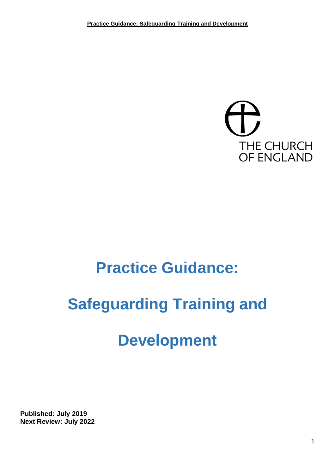

# **Practice Guidance:**

# **Safeguarding Training and**

# **Development**

**Published: July 2019 Next Review: July 2022**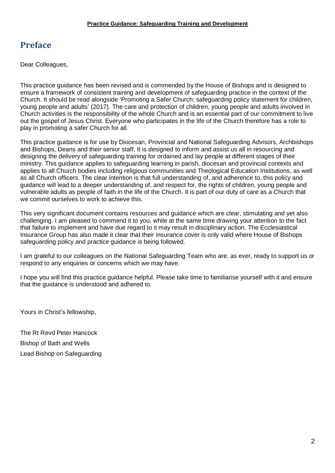# **Preface**

Dear Colleagues,

This practice guidance has been revised and is commended by the House of Bishops and is designed to ensure a framework of consistent training and development of safeguarding practice in the context of the Church. It should be read alongside 'Promoting a Safer Church: safeguarding policy statement for children, young people and adults' (2017). The care and protection of children, young people and adults involved in Church activities is the responsibility of the whole Church and is an essential part of our commitment to live out the gospel of Jesus Christ. Everyone who participates in the life of the Church therefore has a role to play in promoting a safer Church for all.

This practice guidance is for use by Diocesan, Provincial and National Safeguarding Advisors, Archbishops and Bishops, Deans and their senior staff. It is designed to inform and assist us all in resourcing and designing the delivery of safeguarding training for ordained and lay people at different stages of their ministry. This guidance applies to safeguarding learning in parish, diocesan and provincial contexts and applies to all Church bodies including religious communities and Theological Education Institutions, as well as all Church officers. The clear intention is that full understanding of, and adherence to, this policy and guidance will lead to a deeper understanding of, and respect for, the rights of children, young people and vulnerable adults as people of faith in the life of the Church. It is part of our duty of care as a Church that we commit ourselves to work to achieve this.

This very significant document contains resources and guidance which are clear, stimulating and yet also challenging. I am pleased to commend it to you, while at the same time drawing your attention to the fact that failure to implement and have due regard to it may result in disciplinary action. The Ecclesiastical Insurance Group has also made it clear that their insurance cover is only valid where House of Bishops safeguarding policy and practice guidance is being followed.

I am grateful to our colleagues on the National Safeguarding Team who are, as ever, ready to support us or respond to any enquiries or concerns which we may have.

I hope you will find this practice guidance helpful. Please take time to familiarise yourself with it and ensure that the guidance is understood and adhered to.

Yours in Christ's fellowship,

The Rt Revd Peter Hancock Bishop of Bath and Wells Lead Bishop on Safeguarding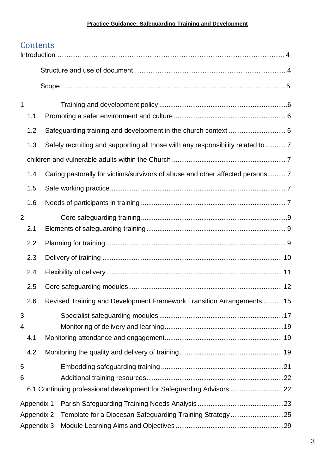# **Contents**

| 1:  |                                                                                  |
|-----|----------------------------------------------------------------------------------|
| 1.1 |                                                                                  |
| 1.2 |                                                                                  |
| 1.3 | Safely recruiting and supporting all those with any responsibility related to  7 |
|     |                                                                                  |
| 1.4 | Caring pastorally for victims/survivors of abuse and other affected persons 7    |
| 1.5 |                                                                                  |
| 1.6 |                                                                                  |
| 2:  |                                                                                  |
| 2.1 |                                                                                  |
| 2.2 |                                                                                  |
| 2.3 |                                                                                  |
| 2.4 |                                                                                  |
| 2.5 |                                                                                  |
| 2.6 | Revised Training and Development Framework Transition Arrangements  15           |
| 3.  |                                                                                  |
| 4.  |                                                                                  |
| 4.1 |                                                                                  |
| 4.2 |                                                                                  |
| 5.  |                                                                                  |
| 6.  |                                                                                  |
|     | 6.1 Continuing professional development for Safeguarding Advisors  22            |
|     |                                                                                  |
|     | Appendix 2: Template for a Diocesan Safeguarding Training Strategy25             |
|     |                                                                                  |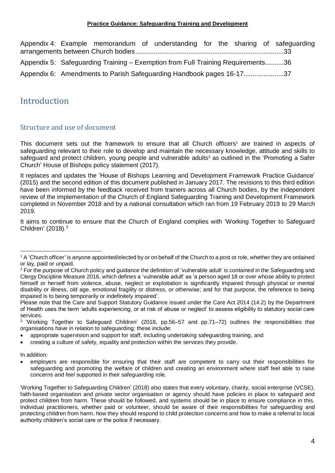Appendix 4: [Example memorandum of understanding for the sharing of safeguarding](#page-32-0)  [arrangements between Church bodies.................................................................................33](#page-32-0) Appendix 5: Safeguarding Training – [Exemption from Full Training Requirements..........36](#page-35-0) Appendix 6: [Amendments to Parish Safeguarding Handbook pages 16-17......................37](#page-36-0)

# Introduction

## Structure and use of document

This document sets out the framework to ensure that all Church officers<sup>1</sup> are trained in aspects of safeguarding relevant to their role to develop and maintain the necessary knowledge, attitude and skills to safeguard and protect children, young people and vulnerable adults<sup>2</sup> as outlined in the 'Promoting a Safer Church' House of Bishops policy statement (2017).

It replaces and updates the 'House of Bishops Learning and Development Framework Practice Guidance' (2015) and the second edition of this document published in January 2017. The revisions to this third edition have been informed by the feedback received from trainers across all Church bodies, by the independent review of the implementation of the Church of England Safeguarding Training and Development Framework completed in November 2018 and by a national consultation which ran from 19 February 2019 to 29 March 2019.

It aims to continue to ensure that the Church of England complies with 'Working Together to Safeguard Children' (2018).<sup>3</sup>

In addition:

 $\overline{a}$ 

<sup>1</sup> A 'Church officer' is anyone appointed/elected by or on behalf of the Church to a post or role, whether they are ordained or lay, paid or unpaid.

<sup>&</sup>lt;sup>2</sup> For the purpose of Church policy and guidance the definition of 'vulnerable adult' is contained in the Safeguarding and Clergy Discipline Measure 2016, which defines a 'vulnerable adult' as 'a person aged 18 or over whose ability to protect himself or herself from violence, abuse, neglect or exploitation is significantly impaired through physical or mental disability or illness, old age, emotional fragility or distress, or otherwise; and for that purpose, the reference to being impaired is to being temporarily or indefinitely impaired'.

Please note that the Care and Support Statutory Guidance issued under the Care Act 2014 (14.2) by the Department of Health uses the term 'adults experiencing, or at risk of abuse or neglect' to assess eligibility to statutory social care services.

<sup>&</sup>lt;sup>3</sup> 'Working Together to Safeguard Children' (2018, pp.56–57 and pp.71–72) outlines the responsibilities that organisations have in relation to safeguarding; these include:

<sup>•</sup> appropriate supervision and support for staff, including undertaking safeguarding training, and

<sup>•</sup> creating a culture of safety, equality and protection within the services they provide.

<sup>•</sup> employers are responsible for ensuring that their staff are competent to carry out their responsibilities for safeguarding and promoting the welfare of children and creating an environment where staff feel able to raise concerns and feel supported in their safeguarding role.

<sup>&#</sup>x27;Working Together to Safeguarding Children' (2018) also states that every voluntary, charity, social enterprise (VCSE), faith-based organisation and private sector organisation or agency should have policies in place to safeguard and protect children from harm. These should be followed, and systems should be in place to ensure compliance in this. Individual practitioners, whether paid or volunteer, should be aware of their responsibilities for safeguarding and protecting children from harm, how they should respond to child protection concerns and how to make a referral to local authority children's social care or the police if necessary.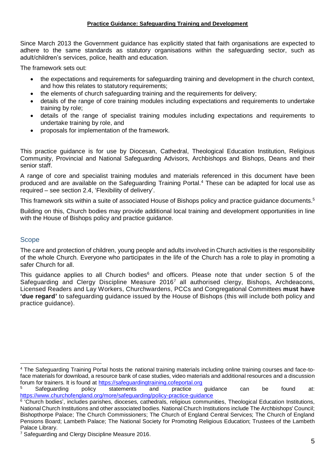Since March 2013 the Government guidance has explicitly stated that faith organisations are expected to adhere to the same standards as statutory organisations within the safeguarding sector, such as adult/children's services, police, health and education.

The framework sets out:

- the expectations and requirements for safeguarding training and development in the church context, and how this relates to statutory requirements;
- the elements of church safeguarding training and the requirements for delivery;
- details of the range of core training modules including expectations and requirements to undertake training by role;
- details of the range of specialist training modules including expectations and requirements to undertake training by role, and
- proposals for implementation of the framework.

This practice guidance is for use by Diocesan, Cathedral, Theological Education Institution, Religious Community, Provincial and National Safeguarding Advisors, Archbishops and Bishops, Deans and their senior staff.

A range of core and specialist training modules and materials referenced in this document have been produced and are available on the Safeguarding Training Portal. <sup>4</sup> These can be adapted for local use as required – see section 2.4, 'Flexibility of delivery'.

This framework sits within a suite of associated House of Bishops policy and practice guidance documents.<sup>5</sup>

Building on this, Church bodies may provide additional local training and development opportunities in line with the House of Bishops policy and practice guidance.

#### **Scope**

 $\overline{a}$ 

The care and protection of children, young people and adults involved in Church activities is the responsibility of the whole Church. Everyone who participates in the life of the Church has a role to play in promoting a safer Church for all.

This guidance applies to all Church bodies<sup>6</sup> and officers. Please note that under section 5 of the Safeguarding and Clergy Discipline Measure 2016<sup>7</sup> all authorised clergy, Bishops, Archdeacons, Licensed Readers and Lay Workers, Churchwardens, PCCs and Congregational Committees **must have 'due regard'** to safeguarding guidance issued by the House of Bishops (this will include both policy and practice guidance).

<sup>4</sup> The Safeguarding Training Portal hosts the national training materials including online training courses and face-toface materials for download, a resource bank of case studies, video materials and additional resources and a discussion forum for trainers. It is found at [https://safeguardingtraining.cofeportal.org](https://safeguardingtraining.cofeportal.org/)

 $5$  Safeguarding policy statements and practice guidance can be found at: <https://www.churchofengland.org/more/safeguarding/policy-practice-guidance>

<sup>&</sup>lt;sup>6</sup> 'Church bodies', includes parishes, dioceses, cathedrals, religious communities, Theological Education Institutions, National Church Institutions and other associated bodies. National Church Institutions include The Archbishops' Council; Bishopthorpe Palace; The Church Commissioners; The Church of England Central Services; The Church of England Pensions Board; Lambeth Palace; The National Society for Promoting Religious Education; Trustees of the Lambeth Palace Library.

<sup>&</sup>lt;sup>7</sup> Safeguarding and Clergy Discipline Measure 2016.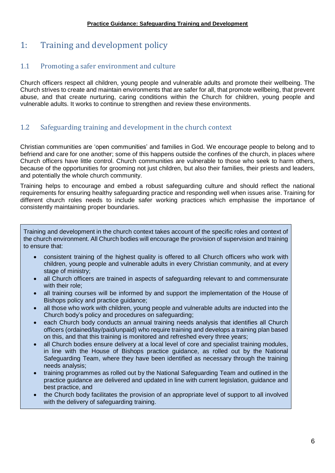# <span id="page-5-0"></span>1: Training and development policy

## <span id="page-5-1"></span>1.1 Promoting a safer environment and culture

Church officers respect all children, young people and vulnerable adults and promote their wellbeing. The Church strives to create and maintain environments that are safer for all, that promote wellbeing, that prevent abuse, and that create nurturing, caring conditions within the Church for children, young people and vulnerable adults. It works to continue to strengthen and review these environments.

## <span id="page-5-2"></span>1.2 Safeguarding training and development in the church context

Christian communities are 'open communities' and families in God. We encourage people to belong and to befriend and care for one another; some of this happens outside the confines of the church, in places where Church officers have little control. Church communities are vulnerable to those who seek to harm others, because of the opportunities for grooming not just children, but also their families, their priests and leaders, and potentially the whole church community.

Training helps to encourage and embed a robust safeguarding culture and should reflect the national requirements for ensuring healthy safeguarding practice and responding well when issues arise. Training for different church roles needs to include safer working practices which emphasise the importance of consistently maintaining proper boundaries.

Training and development in the church context takes account of the specific roles and context of the church environment. All Church bodies will encourage the provision of supervision and training to ensure that:

- consistent training of the highest quality is offered to all Church officers who work with children, young people and vulnerable adults in every Christian community, and at every stage of ministry;
- all Church officers are trained in aspects of safeguarding relevant to and commensurate with their role;
- all training courses will be informed by and support the implementation of the House of Bishops policy and practice guidance;
- all those who work with children, young people and vulnerable adults are inducted into the Church body's policy and procedures on safeguarding;
- each Church body conducts an annual training needs analysis that identifies all Church officers (ordained/lay/paid/unpaid) who require training and develops a training plan based on this, and that this training is monitored and refreshed every three years;
- all Church bodies ensure delivery at a local level of core and specialist training modules, in line with the House of Bishops practice guidance, as rolled out by the National Safeguarding Team, where they have been identified as necessary through the training needs analysis;
- training programmes as rolled out by the National Safeguarding Team and outlined in the practice guidance are delivered and updated in line with current legislation, guidance and best practice, and
- the Church body facilitates the provision of an appropriate level of support to all involved with the delivery of safeguarding training.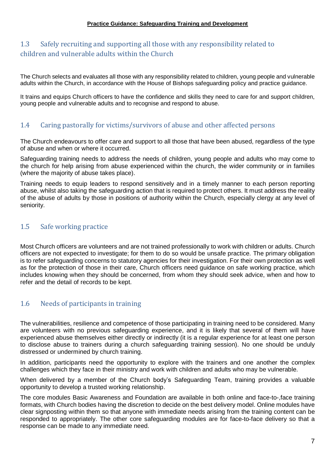## <span id="page-6-1"></span><span id="page-6-0"></span>1.3 Safely recruiting and supporting all those with any responsibility related to children and vulnerable adults within the Church

The Church selects and evaluates all those with any responsibility related to children, young people and vulnerable adults within the Church, in accordance with the House of Bishops safeguarding policy and practice guidance.

It trains and equips Church officers to have the confidence and skills they need to care for and support children, young people and vulnerable adults and to recognise and respond to abuse.

#### <span id="page-6-2"></span>1.4 Caring pastorally for victims/survivors of abuse and other affected persons

The Church endeavours to offer care and support to all those that have been abused, regardless of the type of abuse and when or where it occurred.

Safeguarding training needs to address the needs of children, young people and adults who may come to the church for help arising from abuse experienced within the church, the wider community or in families (where the majority of abuse takes place).

Training needs to equip leaders to respond sensitively and in a timely manner to each person reporting abuse, whilst also taking the safeguarding action that is required to protect others. It must address the reality of the abuse of adults by those in positions of authority within the Church, especially clergy at any level of seniority.

#### <span id="page-6-3"></span>1.5 Safe working practice

Most Church officers are volunteers and are not trained professionally to work with children or adults. Church officers are not expected to investigate; for them to do so would be unsafe practice. The primary obligation is to refer safeguarding concerns to statutory agencies for their investigation. For their own protection as well as for the protection of those in their care, Church officers need guidance on safe working practice, which includes knowing when they should be concerned, from whom they should seek advice, when and how to refer and the detail of records to be kept.

#### <span id="page-6-4"></span>1.6 Needs of participants in training

The vulnerabilities, resilience and competence of those participating in training need to be considered. Many are volunteers with no previous safeguarding experience, and it is likely that several of them will have experienced abuse themselves either directly or indirectly (it is a regular experience for at least one person to disclose abuse to trainers during a church safeguarding training session). No one should be unduly distressed or undermined by church training.

In addition, participants need the opportunity to explore with the trainers and one another the complex challenges which they face in their ministry and work with children and adults who may be vulnerable.

When delivered by a member of the Church body's Safeguarding Team, training provides a valuable opportunity to develop a trusted working relationship.

The core modules Basic Awareness and Foundation are available in both online and face-to-,face training formats, with Church bodies having the discretion to decide on the best delivery model. Online modules have clear signposting within them so that anyone with immediate needs arising from the training content can be responded to appropriately. The other core safeguarding modules are for face-to-face delivery so that a response can be made to any immediate need.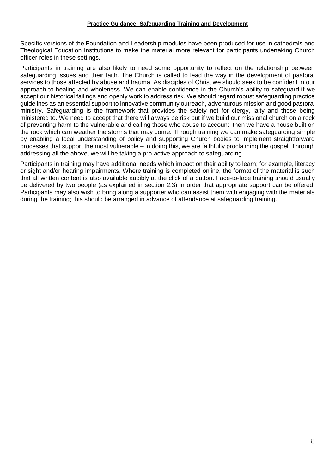Specific versions of the Foundation and Leadership modules have been produced for use in cathedrals and Theological Education Institutions to make the material more relevant for participants undertaking Church officer roles in these settings.

Participants in training are also likely to need some opportunity to reflect on the relationship between safeguarding issues and their faith. The Church is called to lead the way in the development of pastoral services to those affected by abuse and trauma. As disciples of Christ we should seek to be confident in our approach to healing and wholeness. We can enable confidence in the Church's ability to safeguard if we accept our historical failings and openly work to address risk. We should regard robust safeguarding practice guidelines as an essential support to innovative community outreach, adventurous mission and good pastoral ministry. Safeguarding is the framework that provides the safety net for clergy, laity and those being ministered to. We need to accept that there will always be risk but if we build our missional church on a rock of preventing harm to the vulnerable and calling those who abuse to account, then we have a house built on the rock which can weather the storms that may come. Through training we can make safeguarding simple by enabling a local understanding of policy and supporting Church bodies to implement straightforward processes that support the most vulnerable – in doing this, we are faithfully proclaiming the gospel. Through addressing all the above, we will be taking a pro-active approach to safeguarding.

Participants in training may have additional needs which impact on their ability to learn; for example, literacy or sight and/or hearing impairments. Where training is completed online, the format of the material is such that all written content is also available audibly at the click of a button. Face-to-face training should usually be delivered by two people (as explained in section 2.3) in order that appropriate support can be offered. Participants may also wish to bring along a supporter who can assist them with engaging with the materials during the training; this should be arranged in advance of attendance at safeguarding training.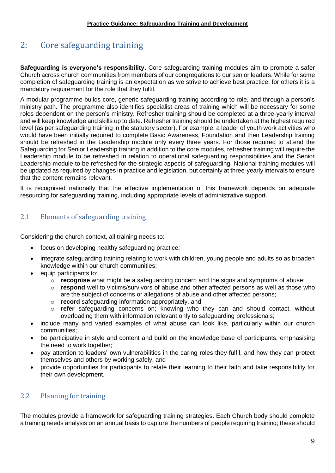# <span id="page-8-0"></span>2: Core safeguarding training

**Safeguarding is everyone's responsibility.** Core safeguarding training modules aim to promote a safer Church across church communities from members of our congregations to our senior leaders. While for some completion of safeguarding training is an expectation as we strive to achieve best practice, for others it is a mandatory requirement for the role that they fulfil.

A modular programme builds core, generic safeguarding training according to role, and through a person's ministry path. The programme also identifies specialist areas of training which will be necessary for some roles dependent on the person's ministry. Refresher training should be completed at a three-yearly interval and will keep knowledge and skills up to date. Refresher training should be undertaken at the highest required level (as per safeguarding training in the statutory sector). For example, a leader of youth work activities who would have been initially required to complete Basic Awareness, Foundation and then Leadership training should be refreshed in the Leadership module only every three years. For those required to attend the Safeguarding for Senior Leadership training in addition to the core modules, refresher training will require the Leadership module to be refreshed in relation to operational safeguarding responsibilities and the Senior Leadership module to be refreshed for the strategic aspects of safeguarding. National training modules will be updated as required by changes in practice and legislation, but certainly at three-yearly intervals to ensure that the content remains relevant.

It is recognised nationally that the effective implementation of this framework depends on adequate resourcing for safeguarding training, including appropriate levels of administrative support.

## <span id="page-8-1"></span>2.1 Elements of safeguarding training

Considering the church context, all training needs to:

- focus on developing healthy safeguarding practice;
- integrate safeguarding training relating to work with children, young people and adults so as broaden knowledge within our church communities;
- equip participants to:
	- o **recognise** what might be a safeguarding concern and the signs and symptoms of abuse;
	- o **respond** well to victims/survivors of abuse and other affected persons as well as those who are the subject of concerns or allegations of abuse and other affected persons;
	- o **record** safeguarding information appropriately, and
	- refer safeguarding concerns on; knowing who they can and should contact, without overloading them with information relevant only to safeguarding professionals;
- include many and varied examples of what abuse can look like, particularly within our church communities;
- be participative in style and content and build on the knowledge base of participants, emphasising the need to work together;
- pay attention to leaders' own vulnerabilities in the caring roles they fulfil, and how they can protect themselves and others by working safely, and
- provide opportunities for participants to relate their learning to their faith and take responsibility for their own development.

## <span id="page-8-2"></span>2.2 Planning for training

The modules provide a framework for safeguarding training strategies. Each Church body should complete a training needs analysis on an annual basis to capture the numbers of people requiring training; these should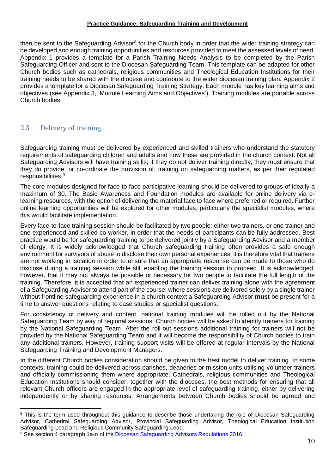then be sent to the Safeguarding Advisor<sup>8</sup> for the Church body in order that the wider training strategy can be developed and enough training opportunities and resources provided to meet the assessed levels of need. Appendix 1 provides a template for a Parish Training Needs Analysis to be completed by the Parish Safeguarding Officer and sent to the Diocesan Safeguarding Team. This template can be adapted for other Church bodies such as cathedrals, religious communities and Theological Education Institutions for their training needs to be shared with the diocese and contribute to the wider diocesan training plan. Appendix 2 provides a template for a Diocesan Safeguarding Training Strategy. Each module has key learning aims and objectives (see Appendix 3, 'Module Learning Aims and Objectives'). Training modules are portable across Church bodies.

## <span id="page-9-0"></span>2.3 Delivery of training

 $\overline{a}$ 

Safeguarding training must be delivered by experienced and skilled trainers who understand the statutory requirements of safeguarding children and adults and how these are provided in the church context. Not all Safeguarding Advisors will have training skills; if they do not deliver training directly, they must ensure that they do provide, or co-ordinate the provision of, training on safeguarding matters, as per their regulated responsibilities. 9

The core modules designed for face-to-face participative learning should be delivered to groups of ideally a maximum of 30. The Basic Awareness and Foundation modules are available for online delivery via elearning resources, with the option of delivering the material face to face where preferred or required. Further online learning opportunities will be explored for other modules, particularly the specialist modules, where this would facilitate implementation.

Every face-to-face training session should be facilitated by two people: either two trainers, or one trainer and one experienced and skilled co-worker, in order that the needs of participants can be fully addressed. Best practice would be for safeguarding training to be delivered jointly by a Safeguarding Advisor and a member of clergy. It is widely acknowledged that Church safeguarding training often provides a safe enough environment for survivors of abuse to disclose their own personal experiences; it is therefore vital that trainers are not working in isolation in order to ensure that an appropriate response can be made to those who do disclose during a training session while still enabling the training session to proceed. It is acknowledged, however, that it may not always be possible or necessary for two people to facilitate the full length of the training. Therefore, it is accepted that an experienced trainer can deliver training alone with the agreement of a Safeguarding Advisor to attend part of the course; where sessions are delivered solely by a single trainer without frontline safeguarding experience in a church context a Safeguarding Advisor **must** be present for a time to answer questions relating to case studies or specialist questions.

For consistency of delivery and content, national training modules will be rolled out by the National Safeguarding Team by way of regional sessions. Church bodies will be asked to identify trainers for training by the National Safeguarding Team. After the roll-out sessions additional training for trainers will not be provided by the National Safeguarding Team and it will become the responsibility of Church bodies to train any additional trainers. However, training support visits will be offered at regular intervals by the National Safeguarding Training and Development Managers.

In the different Church bodies consideration should be given to the best model to deliver training. In some contexts, training could be delivered across parishes, deaneries or mission units utilising volunteer trainers and officially commissioning them where appropriate. Cathedrals, religious communities and Theological Education Institutions should consider, together with the dioceses, the best methods for ensuring that all relevant Church officers are engaged in the appropriate level of safeguarding training, either by delivering independently or by sharing resources. Arrangements between Church bodies should be agreed and

<sup>&</sup>lt;sup>8</sup> This is the term used throughout this guidance to describe those undertaking the role of Diocesan Safeguarding Advisor, Cathedral Safeguarding Advisor, Provincial Safeguarding Advisor, Theological Education Institution Safeguarding Lead and Religious Community Safeguarding Lead.

<sup>9</sup> See section 4 paragraph 1a-o of the [Diocesan Safeguarding Advisors Regulations 2016.](https://www.churchofengland.org/sites/default/files/2017-10/dsa-regulations-as-amended-2017.pdf)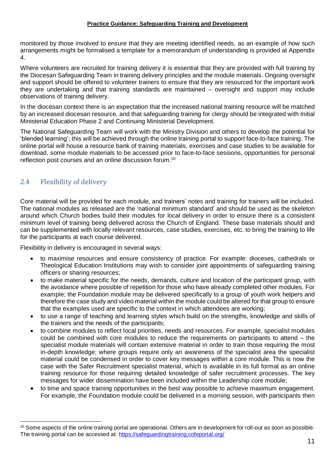monitored by those involved to ensure that they are meeting identified needs, as an example of how such arrangements might be formalised a template for a memorandum of understanding is provided at Appendix 4.

Where volunteers are recruited for training delivery it is essential that they are provided with full training by the Diocesan Safeguarding Team in training delivery principles and the module materials. Ongoing oversight and support should be offered to volunteer trainers to ensure that they are resourced for the important work they are undertaking and that training standards are maintained – oversight and support may include observations of training delivery.

In the diocesan context there is an expectation that the increased national training resource will be matched by an increased diocesan resource, and that safeguarding training for clergy should be integrated with Initial Ministerial Education Phase 2 and Continuing Ministerial Development.

The National Safeguarding Team will work with the Ministry Division and others to develop the potential for 'blended learning'; this will be achieved through the online training portal to support face-to-face training. The online portal will house a resource bank of training materials, exercises and case studies to be available for download, some module materials to be accessed prior to face-to-face sessions, opportunities for personal reflection post courses and an online discussion forum.<sup>10</sup>

## <span id="page-10-0"></span>2.4 Flexibility of delivery

 $\overline{a}$ 

Core material will be provided for each module, and trainers' notes and training for trainers will be included. The national modules as released are the 'national minimum standard' and should be used as the skeleton around which Church bodies build their modules for local delivery in order to ensure there is a consistent minimum level of training being delivered across the Church of England. These base materials should and can be supplemented with locally relevant resources, case studies, exercises, etc. to bring the training to life for the participants at each course delivered.

Flexibility in delivery is encouraged in several ways:

- to maximise resources and ensure consistency of practice. For example: dioceses, cathedrals or Theological Education Institutions may wish to consider joint appointments of safeguarding training officers or sharing resources;
- to make material specific for the needs, demands, culture and location of the participant group, with the avoidance where possible of repetition for those who have already completed other modules. For example; the Foundation module may be delivered specifically to a group of youth work helpers and therefore the case study and video material within the module could be altered for that group to ensure that the examples used are specific to the context in which attendees are working;
- to use a range of teaching and learning styles which build on the strengths, knowledge and skills of the trainers and the needs of the participants;
- to combine modules to reflect local priorities, needs and resources. For example, specialist modules could be combined with core modules to reduce the requirements on participants to attend – the specialist module materials will contain extensive material in order to train those requiring the most in-depth knowledge; where groups require only an awareness of the specialist area the specialist material could be condensed in order to cover key messages within a core module. This is now the case with the Safer Recruitment specialist material, which is available in its full format as an online training resource for those requiring detailed knowledge of safer recruitment processes. The key messages for wider dissemination have been included within the Leadership core module;
- to time and space training opportunities in the best way possible to achieve maximum engagement. For example, the Foundation module could be delivered in a morning session, with participants then

 $10$  Some aspects of the online training portal are operational. Others are in development for roll-out as soon as possible. The training portal can be accessed at:<https://safeguardingtraining.cofeportal.org/>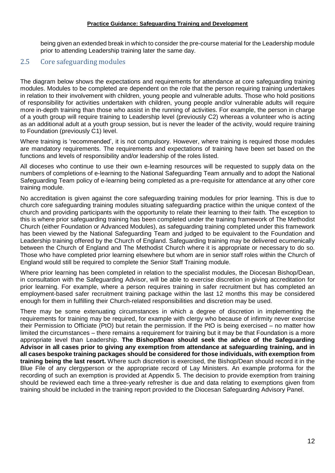being given an extended break in which to consider the pre-course material for the Leadership module prior to attending Leadership training later the same day.

#### <span id="page-11-0"></span>2.5 Core safeguarding modules

The diagram below shows the expectations and requirements for attendance at core safeguarding training modules. Modules to be completed are dependent on the role that the person requiring training undertakes in relation to their involvement with children, young people and vulnerable adults. Those who hold positions of responsibility for activities undertaken with children, young people and/or vulnerable adults will require more in-depth training than those who assist in the running of activities. For example, the person in charge of a youth group will require training to Leadership level (previously C2) whereas a volunteer who is acting as an additional adult at a youth group session, but is never the leader of the activity, would require training to Foundation (previously C1) level.

Where training is 'recommended', it is not compulsory. However, where training is required those modules are mandatory requirements. The requirements and expectations of training have been set based on the functions and levels of responsibility and/or leadership of the roles listed.

All dioceses who continue to use their own e-learning resources will be requested to supply data on the numbers of completions of e-learning to the National Safeguarding Team annually and to adopt the National Safeguarding Team policy of e-learning being completed as a pre-requisite for attendance at any other core training module.

No accreditation is given against the core safeguarding training modules for prior learning. This is due to church core safeguarding training modules situating safeguarding practice within the unique context of the church and providing participants with the opportunity to relate their learning to their faith. The exception to this is where prior safeguarding training has been completed under the training framework of The Methodist Church (either Foundation or Advanced Modules), as safeguarding training completed under this framework has been viewed by the National Safeguarding Team and judged to be equivalent to the Foundation and Leadership training offered by the Church of England. Safeguarding training may be delivered ecumenically between the Church of England and The Methodist Church where it is appropriate or necessary to do so. Those who have completed prior learning elsewhere but whom are in senior staff roles within the Church of England would still be required to complete the Senior Staff Training module.

Where prior learning has been completed in relation to the specialist modules, the Diocesan Bishop/Dean, in consultation with the Safeguarding Advisor, will be able to exercise discretion in giving accreditation for prior learning. For example, where a person requires training in safer recruitment but has completed an employment-based safer recruitment training package within the last 12 months this may be considered enough for them in fulfilling their Church-related responsibilities and discretion may be used.

There may be some extenuating circumstances in which a degree of discretion in implementing the requirements for training may be required, for example with clergy who because of infirmity never exercise their Permission to Officiate (PtO) but retain the permission. If the PtO is being exercised – no matter how limited the circumstances – there remains a requirement for training but it may be that Foundation is a more appropriate level than Leadership. **The Bishop/Dean should seek the advice of the Safeguarding Advisor in all cases prior to giving any exemption from attendance at safeguarding training, and in all cases bespoke training packages should be considered for those individuals, with exemption from training being the last resort.** Where such discretion is exercised, the Bishop/Dean should record it in the Blue File of any clergyperson or the appropriate record of Lay Ministers. An example proforma for the recording of such an exemption is provided at Appendix 5. The decision to provide exemption from training should be reviewed each time a three-yearly refresher is due and data relating to exemptions given from training should be included in the training report provided to the Diocesan Safeguarding Advisory Panel.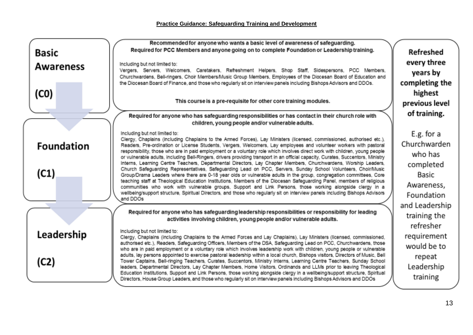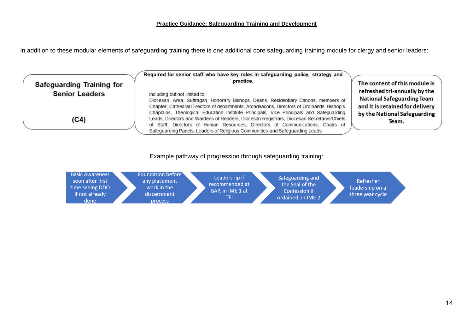In addition to these modular elements of safeguarding training there is one additional core safeguarding training module for clergy and senior leaders:



#### Example pathway of progression through safeguarding training:

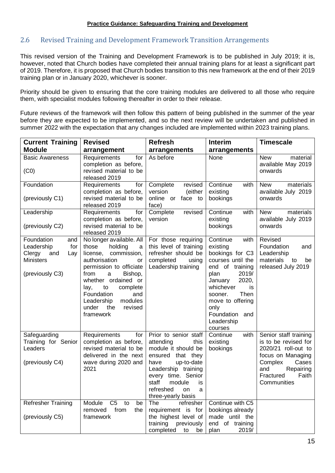#### <span id="page-14-0"></span>2.6 Revised Training and Development Framework Transition Arrangements

This revised version of the Training and Development Framework is to be published in July 2019; it is, however, noted that Church bodies have completed their annual training plans for at least a significant part of 2019. Therefore, it is proposed that Church bodies transition to this new framework at the end of their 2019 training plan or in January 2020, whichever is sooner.

Priority should be given to ensuring that the core training modules are delivered to all those who require them, with specialist modules following thereafter in order to their release.

Future reviews of the framework will then follow this pattern of being published in the summer of the year before they are expected to be implemented, and so the next review will be undertaken and published in summer 2022 with the expectation that any changes included are implemented within 2023 training plans.

| <b>Current Training</b>                                                                               | <b>Revised</b>                                                                                                                                                                                                                                                                                | <b>Refresh</b>                                                                                                                                                                                                                              | <b>Interim</b>                                                                                                                                                                                                                            | <b>Timescale</b>                                                                                                                                                       |
|-------------------------------------------------------------------------------------------------------|-----------------------------------------------------------------------------------------------------------------------------------------------------------------------------------------------------------------------------------------------------------------------------------------------|---------------------------------------------------------------------------------------------------------------------------------------------------------------------------------------------------------------------------------------------|-------------------------------------------------------------------------------------------------------------------------------------------------------------------------------------------------------------------------------------------|------------------------------------------------------------------------------------------------------------------------------------------------------------------------|
| <b>Module</b>                                                                                         | arrangement                                                                                                                                                                                                                                                                                   | arrangements                                                                                                                                                                                                                                | arrangements                                                                                                                                                                                                                              |                                                                                                                                                                        |
| <b>Basic Awareness</b><br>(C <sub>0</sub> )                                                           | Requirements<br>for<br>completion as before,<br>revised material to be<br>released 2019                                                                                                                                                                                                       | As before                                                                                                                                                                                                                                   | None                                                                                                                                                                                                                                      | <b>New</b><br>material<br>available May 2019<br>onwards                                                                                                                |
| Foundation<br>(previously C1)                                                                         | Requirements<br>for<br>completion as before,<br>revised material to be<br>released 2019                                                                                                                                                                                                       | Complete<br>revised<br>version<br>(either<br>online or face to<br>face)                                                                                                                                                                     | Continue<br>with<br>existing<br>bookings                                                                                                                                                                                                  | <b>New</b><br>materials<br>available July 2019<br>onwards                                                                                                              |
| Leadership<br>(previously C2)                                                                         | Requirements<br>for<br>completion as before,<br>revised material to be<br>released 2019                                                                                                                                                                                                       | Complete<br>revised<br>version                                                                                                                                                                                                              | Continue<br>with<br>existing<br>bookings                                                                                                                                                                                                  | materials<br><b>New</b><br>available July 2019<br>onwards                                                                                                              |
| Foundation<br>and<br>Leadership<br>for<br>Clergy<br>and<br>Lay<br><b>Ministers</b><br>(previously C3) | No longer available. All<br>those<br>holding<br>a<br>license,<br>commission,<br>authorisation<br>or<br>permission to officiate<br>from<br>Bishop,<br>a<br>whether ordained or<br>complete<br>lay,<br>to<br>Foundation<br>and<br>Leadership<br>modules<br>under<br>revised<br>the<br>framework | For those requiring<br>this level of training<br>refresher should be<br>completed<br>using<br>Leadership training                                                                                                                           | Continue<br>with<br>existing<br>bookings for C3<br>courses until the<br>end of training<br>2019/<br>plan<br>2020,<br>January<br>whichever<br>is<br>Then<br>sooner.<br>move to offering<br>only<br>Foundation and<br>Leadership<br>courses | Revised<br>Foundation<br>and<br>Leadership<br>materials<br>to<br>be<br>released July 2019                                                                              |
| Safeguarding<br>Training for Senior<br>Leaders<br>(previously C4)                                     | Requirements<br>for<br>completion as before,<br>revised material to be<br>delivered in the next<br>wave during 2020 and<br>2021                                                                                                                                                               | Prior to senior staff<br>attending<br>this<br>module it should be<br>ensured that they<br>have<br>up-to-date<br>Leadership training<br>every time. Senior<br>staff<br>module<br>is.<br>refreshed<br>on<br>$\mathbf a$<br>three-yearly basis | with<br>Continue<br>existing<br>bookings                                                                                                                                                                                                  | Senior staff training<br>is to be revised for<br>2020/21 roll-out to<br>focus on Managing<br>Complex<br>Cases<br>Repairing<br>and<br>Faith<br>Fractured<br>Communities |
| Refresher Training<br>(previously C5)                                                                 | Module<br>C <sub>5</sub><br>to<br>be<br>removed<br>from<br>the<br>framework                                                                                                                                                                                                                   | The<br>refresher<br>requirement is for<br>the highest level of<br>training<br>previously<br>completed<br>to<br>be                                                                                                                           | Continue with C5<br>bookings already<br>made until the<br>end of training<br>plan<br>2019/                                                                                                                                                |                                                                                                                                                                        |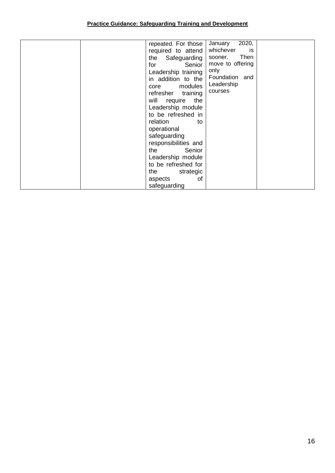| repeated. For those<br>required to attend<br>the Safeguarding | 2020,<br>January<br>whichever<br>is<br>Then<br>sooner.   |  |
|---------------------------------------------------------------|----------------------------------------------------------|--|
| Senior  <br>for<br>Leadership training<br>in addition to the  | move to offering<br>only<br>Foundation and<br>Leadership |  |
| core modules<br>refresher training<br>will require<br>the     | courses                                                  |  |
| Leadership module<br>to be refreshed in<br>relation<br>to     |                                                          |  |
| operational<br>safeguarding<br>responsibilities and           |                                                          |  |
| Senior<br>the<br>Leadership module<br>to be refreshed for     |                                                          |  |
| the<br>strategic<br>οf<br>aspects                             |                                                          |  |
| safeguarding                                                  |                                                          |  |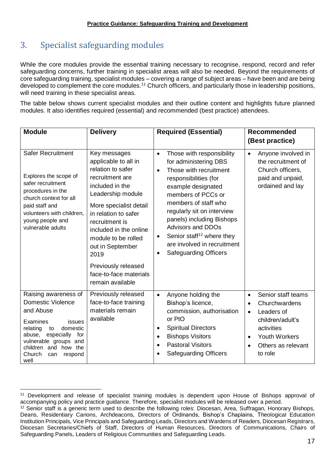# <span id="page-16-0"></span>3. Specialist safeguarding modules

While the core modules provide the essential training necessary to recognise, respond, record and refer safeguarding concerns, further training in specialist areas will also be needed. Beyond the requirements of core safeguarding training, specialist modules – covering a range of subject areas – have been and are being developed to complement the core modules.<sup>11</sup> Church officers, and particularly those in leadership positions, will need training in these specialist areas.

The table below shows current specialist modules and their outline content and highlights future planned modules. It also identifies required (essential) and recommended (best practice) attendees.

| <b>Module</b>                                                                                                                                                                                                                         | <b>Delivery</b>                                                                                                                                                                                                                                                       | <b>Required (Essential)</b>                                                                                                                                                                                                                                                                                                                                                                                                  | <b>Recommended</b><br>(Best practice)                                                                                                                                                                         |
|---------------------------------------------------------------------------------------------------------------------------------------------------------------------------------------------------------------------------------------|-----------------------------------------------------------------------------------------------------------------------------------------------------------------------------------------------------------------------------------------------------------------------|------------------------------------------------------------------------------------------------------------------------------------------------------------------------------------------------------------------------------------------------------------------------------------------------------------------------------------------------------------------------------------------------------------------------------|---------------------------------------------------------------------------------------------------------------------------------------------------------------------------------------------------------------|
| <b>Safer Recruitment</b><br>Explores the scope of<br>safer recruitment<br>procedures in the<br>church context for all<br>paid staff and<br>volunteers with children,<br>young people and<br>vulnerable adults                         | Key messages<br>applicable to all in<br>relation to safer<br>recruitment are<br>included in the<br>Leadership module<br>More specialist detail<br>in relation to safer<br>recruitment is<br>included in the online<br>module to be rolled<br>out in September<br>2019 | Those with responsibility<br>$\bullet$<br>for administering DBS<br>Those with recruitment<br>$\bullet$<br>responsibilities (for<br>example designated<br>members of PCCs or<br>members of staff who<br>regularly sit on interview<br>panels) including Bishops<br><b>Advisors and DDOs</b><br>Senior staff <sup>12</sup> where they<br>$\bullet$<br>are involved in recruitment<br><b>Safeguarding Officers</b><br>$\bullet$ | Anyone involved in<br>$\bullet$<br>the recruitment of<br>Church officers,<br>paid and unpaid,<br>ordained and lay                                                                                             |
|                                                                                                                                                                                                                                       | Previously released<br>face-to-face materials<br>remain available                                                                                                                                                                                                     |                                                                                                                                                                                                                                                                                                                                                                                                                              |                                                                                                                                                                                                               |
| Raising awareness of<br><b>Domestic Violence</b><br>and Abuse<br>Examines<br>issues<br>domestic<br>relating<br>to<br>especially<br>for<br>abuse,<br>vulnerable groups and<br>children and how the<br>Church<br>can<br>respond<br>well | Previously released<br>face-to-face training<br>materials remain<br>available                                                                                                                                                                                         | Anyone holding the<br>$\bullet$<br>Bishop's licence,<br>commission, authorisation<br>or PtO<br><b>Spiritual Directors</b><br>$\bullet$<br><b>Bishops Visitors</b><br>$\bullet$<br><b>Pastoral Visitors</b><br>$\bullet$<br><b>Safeguarding Officers</b>                                                                                                                                                                      | Senior staff teams<br>$\bullet$<br>Churchwardens<br>$\bullet$<br>Leaders of<br>$\bullet$<br>children/adult's<br>activities<br><b>Youth Workers</b><br>$\bullet$<br>Others as relevant<br>$\bullet$<br>to role |

 $\overline{a}$ <sup>11</sup> Development and release of specialist training modules is dependent upon House of Bishops approval of accompanying policy and practice guidance. Therefore, specialist modules will be released over a period.

<sup>&</sup>lt;sup>12</sup> Senior staff is a generic term used to describe the following roles: Diocesan, Area, Suffragan, Honorary Bishops, Deans, Residentiary Canons, Archdeacons, Directors of Ordinands, Bishop's Chaplains, Theological Education Institution Principals, Vice Principalsand Safeguarding Leads, Directors and Wardens of Readers, Diocesan Registrars, Diocesan Secretaries/Chiefs of Staff, Directors of Human Resources, Directors of Communications, Chairs of Safeguarding Panels, Leaders of Religious Communities and Safeguarding Leads.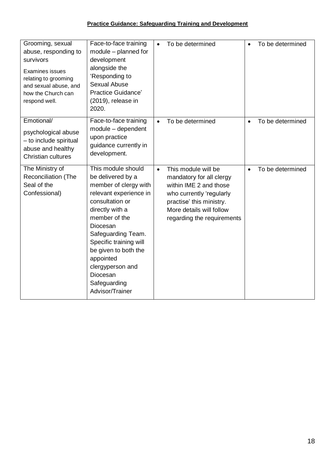| Grooming, sexual<br>abuse, responding to<br>survivors<br><b>Examines issues</b><br>relating to grooming<br>and sexual abuse, and<br>how the Church can<br>respond well. | Face-to-face training<br>module - planned for<br>development<br>alongside the<br>'Responding to<br><b>Sexual Abuse</b><br>Practice Guidance'<br>(2019), release in<br>2020.                                                                                                                                           | $\bullet$ | To be determined                                                                                                                                                                            |           | To be determined |
|-------------------------------------------------------------------------------------------------------------------------------------------------------------------------|-----------------------------------------------------------------------------------------------------------------------------------------------------------------------------------------------------------------------------------------------------------------------------------------------------------------------|-----------|---------------------------------------------------------------------------------------------------------------------------------------------------------------------------------------------|-----------|------------------|
| Emotional/<br>psychological abuse<br>- to include spiritual<br>abuse and healthy<br>Christian cultures                                                                  | Face-to-face training<br>module - dependent<br>upon practice<br>guidance currently in<br>development.                                                                                                                                                                                                                 | $\bullet$ | To be determined                                                                                                                                                                            | $\bullet$ | To be determined |
| The Ministry of<br><b>Reconciliation (The</b><br>Seal of the<br>Confessional)                                                                                           | This module should<br>be delivered by a<br>member of clergy with<br>relevant experience in<br>consultation or<br>directly with a<br>member of the<br>Diocesan<br>Safeguarding Team.<br>Specific training will<br>be given to both the<br>appointed<br>clergyperson and<br>Diocesan<br>Safeguarding<br>Advisor/Trainer | $\bullet$ | This module will be<br>mandatory for all clergy<br>within IME 2 and those<br>who currently 'regularly<br>practise' this ministry.<br>More details will follow<br>regarding the requirements |           | To be determined |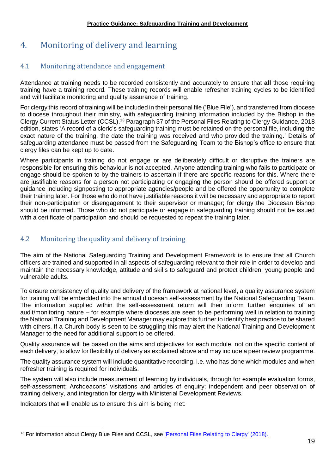# <span id="page-18-0"></span>4. Monitoring of delivery and learning

## <span id="page-18-1"></span>4.1 Monitoring attendance and engagement

Attendance at training needs to be recorded consistently and accurately to ensure that **all** those requiring training have a training record. These training records will enable refresher training cycles to be identified and will facilitate monitoring and quality assurance of training.

For clergy this record of training will be included in their personal file ('Blue File'), and transferred from diocese to diocese throughout their ministry, with safeguarding training information included by the Bishop in the Clergy Current Status Letter (CCSL).<sup>13</sup> Paragraph 37 of the Personal Files Relating to Clergy Guidance, 2018 edition, states 'A record of a cleric's safeguarding training must be retained on the personal file, including the exact nature of the training, the date the training was received and who provided the training.' Details of safeguarding attendance must be passed from the Safeguarding Team to the Bishop's office to ensure that clergy files can be kept up to date.

Where participants in training do not engage or are deliberately difficult or disruptive the trainers are responsible for ensuring this behaviour is not accepted. Anyone attending training who fails to participate or engage should be spoken to by the trainers to ascertain if there are specific reasons for this. Where there are justifiable reasons for a person not participating or engaging the person should be offered support or guidance including signposting to appropriate agencies/people and be offered the opportunity to complete their training later. For those who do not have justifiable reasons it will be necessary and appropriate to report their non-participation or disengagement to their supervisor or manager; for clergy the Diocesan Bishop should be informed. Those who do not participate or engage in safeguarding training should not be issued with a certificate of participation and should be requested to repeat the training later.

## <span id="page-18-2"></span>4.2 Monitoring the quality and delivery of training

The aim of the National Safeguarding Training and Development Framework is to ensure that all Church officers are trained and supported in all aspects of safeguarding relevant to their role in order to develop and maintain the necessary knowledge, attitude and skills to safeguard and protect children, young people and vulnerable adults.

To ensure consistency of quality and delivery of the framework at national level, a quality assurance system for training will be embedded into the annual diocesan self-assessment by the National Safeguarding Team. The information supplied within the self-assessment return will then inform further enquiries of an audit/monitoring nature – for example where dioceses are seen to be performing well in relation to training the National Training and Development Manager may explore this further to identify best practice to be shared with others. If a Church body is seen to be struggling this may alert the National Training and Development Manager to the need for additional support to be offered.

Quality assurance will be based on the aims and objectives for each module, not on the specific content of each delivery, to allow for flexibility of delivery as explained above and may include a peer review programme.

The quality assurance system will include quantitative recording, i.e. who has done which modules and when refresher training is required for individuals.

The system will also include measurement of learning by individuals, through for example evaluation forms, self-assessment; Archdeacons' visitations and articles of enquiry; independent and peer observation of training delivery, and integration for clergy with Ministerial Development Reviews.

Indicators that will enable us to ensure this aim is being met:

 $\overline{a}$ 

<sup>&</sup>lt;sup>13</sup> For information about Clergy Blue Files and CCSL, see ['Personal Files Relating to Clergy' \(2018\).](https://www.churchofengland.org/sites/default/files/2018-08/Personal%20Files%20Relating%20to%20Clergy%202018%20Edition.pdf)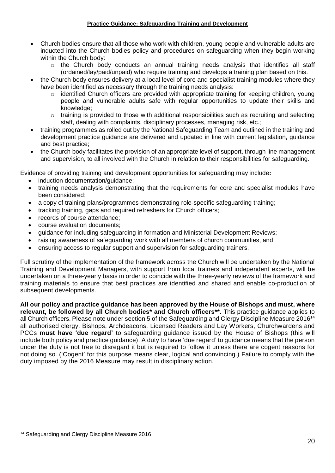- Church bodies ensure that all those who work with children, young people and vulnerable adults are inducted into the Church bodies policy and procedures on safeguarding when they begin working within the Church body:
	- $\circ$  the Church body conducts an annual training needs analysis that identifies all staff (ordained/lay/paid/unpaid) who require training and develops a training plan based on this.
- the Church body ensures delivery at a local level of core and specialist training modules where they have been identified as necessary through the training needs analysis:
	- o identified Church officers are provided with appropriate training for keeping children, young people and vulnerable adults safe with regular opportunities to update their skills and knowledge;
	- $\circ$  training is provided to those with additional responsibilities such as recruiting and selecting staff, dealing with complaints, disciplinary processes, managing risk, etc.;
- training programmes as rolled out by the National Safeguarding Team and outlined in the training and development practice guidance are delivered and updated in line with current legislation, guidance and best practice;
- the Church body facilitates the provision of an appropriate level of support, through line management and supervision, to all involved with the Church in relation to their responsibilities for safeguarding.

Evidence of providing training and development opportunities for safeguarding may include**:**

- induction documentation/guidance;
- training needs analysis demonstrating that the requirements for core and specialist modules have been considered;
- a copy of training plans/programmes demonstrating role-specific safeguarding training;
- tracking training, gaps and required refreshers for Church officers;
- records of course attendance:
- course evaluation documents;
- guidance for including safeguarding in formation and Ministerial Development Reviews;
- raising awareness of safeguarding work with all members of church communities, and
- ensuring access to regular support and supervision for safeguarding trainers.

Full scrutiny of the implementation of the framework across the Church will be undertaken by the National Training and Development Managers, with support from local trainers and independent experts, will be undertaken on a three-yearly basis in order to coincide with the three-yearly reviews of the framework and training materials to ensure that best practices are identified and shared and enable co-production of subsequent developments.

**All our policy and practice guidance has been approved by the House of Bishops and must, where relevant, be followed by all Church bodies\* and Church officers\*\*.** This practice guidance applies to all Church officers. Please note under section 5 of the Safeguarding and Clergy Discipline Measure 2016<sup>14</sup> all authorised clergy, Bishops, Archdeacons, Licensed Readers and Lay Workers, Churchwardens and PCCs **must have 'due regard'** to safeguarding guidance issued by the House of Bishops (this will include both policy and practice guidance). A duty to have 'due regard' to guidance means that the person under the duty is not free to disregard it but is required to follow it unless there are cogent reasons for not doing so. ('Cogent' for this purpose means clear, logical and convincing.) Failure to comply with the duty imposed by the 2016 Measure may result in disciplinary action.

 $\overline{a}$ <sup>14</sup> Safeguarding and Clergy Discipline Measure 2016.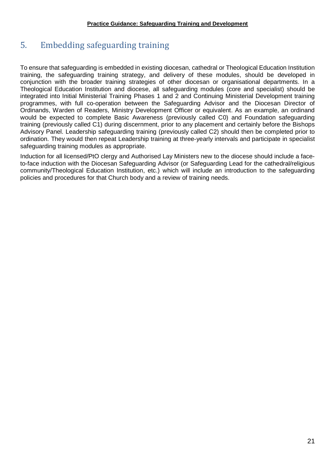# <span id="page-20-0"></span>5. Embedding safeguarding training

To ensure that safeguarding is embedded in existing diocesan, cathedral or Theological Education Institution training, the safeguarding training strategy, and delivery of these modules, should be developed in conjunction with the broader training strategies of other diocesan or organisational departments. In a Theological Education Institution and diocese, all safeguarding modules (core and specialist) should be integrated into Initial Ministerial Training Phases 1 and 2 and Continuing Ministerial Development training programmes, with full co-operation between the Safeguarding Advisor and the Diocesan Director of Ordinands, Warden of Readers, Ministry Development Officer or equivalent. As an example, an ordinand would be expected to complete Basic Awareness (previously called C0) and Foundation safeguarding training (previously called C1) during discernment, prior to any placement and certainly before the Bishops Advisory Panel. Leadership safeguarding training (previously called C2) should then be completed prior to ordination. They would then repeat Leadership training at three-yearly intervals and participate in specialist safeguarding training modules as appropriate.

Induction for all licensed/PtO clergy and Authorised Lay Ministers new to the diocese should include a faceto-face induction with the Diocesan Safeguarding Advisor (or Safeguarding Lead for the cathedral/religious community/Theological Education Institution, etc.) which will include an introduction to the safeguarding policies and procedures for that Church body and a review of training needs.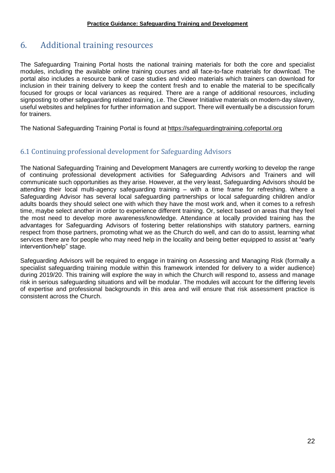# <span id="page-21-0"></span>6. Additional training resources

The Safeguarding Training Portal hosts the national training materials for both the core and specialist modules, including the available online training courses and all face-to-face materials for download. The portal also includes a resource bank of case studies and video materials which trainers can download for inclusion in their training delivery to keep the content fresh and to enable the material to be specifically focused for groups or local variances as required. There are a range of additional resources, including signposting to other safeguarding related training, i.e. The Clewer Initiative materials on modern-day slavery, useful websites and helplines for further information and support. There will eventually be a discussion forum for trainers.

The National Safeguarding Training Portal is found at [https://safeguardingtraining.cofeportal.org](https://safeguardingtraining.cofeportal.org/)

## <span id="page-21-1"></span>6.1 Continuing professional development for Safeguarding Advisors

The National Safeguarding Training and Development Managers are currently working to develop the range of continuing professional development activities for Safeguarding Advisors and Trainers and will communicate such opportunities as they arise. However, at the very least, Safeguarding Advisors should be attending their local multi-agency safeguarding training – with a time frame for refreshing. Where a Safeguarding Advisor has several local safeguarding partnerships or local safeguarding children and/or adults boards they should select one with which they have the most work and, when it comes to a refresh time, maybe select another in order to experience different training. Or, select based on areas that they feel the most need to develop more awareness/knowledge. Attendance at locally provided training has the advantages for Safeguarding Advisors of fostering better relationships with statutory partners, earning respect from those partners, promoting what we as the Church do well, and can do to assist, learning what services there are for people who may need help in the locality and being better equipped to assist at "early intervention/help" stage.

Safeguarding Advisors will be required to engage in training on Assessing and Managing Risk (formally a specialist safeguarding training module within this framework intended for delivery to a wider audience) during 2019/20. This training will explore the way in which the Church will respond to, assess and manage risk in serious safeguarding situations and will be modular. The modules will account for the differing levels of expertise and professional backgrounds in this area and will ensure that risk assessment practice is consistent across the Church.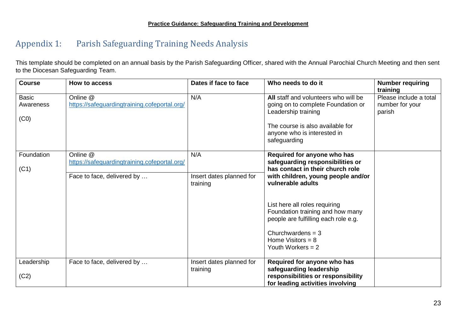# Appendix 1: Parish Safeguarding Training Needs Analysis

This template should be completed on an annual basis by the Parish Safeguarding Officer, shared with the Annual Parochial Church Meeting and then sent to the Diocesan Safeguarding Team.

<span id="page-22-0"></span>

| <b>Course</b> | How to access                                | Dates if face to face    | Who needs to do it                                                       | <b>Number requiring</b><br>training |
|---------------|----------------------------------------------|--------------------------|--------------------------------------------------------------------------|-------------------------------------|
| <b>Basic</b>  | Online @                                     | N/A                      | All staff and volunteers who will be                                     | Please include a total              |
| Awareness     | https://safeguardingtraining.cofeportal.org/ |                          | going on to complete Foundation or<br>Leadership training                | number for your<br>parish           |
| (C0)          |                                              |                          |                                                                          |                                     |
|               |                                              |                          | The course is also available for<br>anyone who is interested in          |                                     |
|               |                                              |                          | safeguarding                                                             |                                     |
| Foundation    | Online @                                     | N/A                      | Required for anyone who has                                              |                                     |
|               | https://safeguardingtraining.cofeportal.org/ |                          | safeguarding responsibilities or<br>has contact in their church role     |                                     |
| (C1)          | Face to face, delivered by                   | Insert dates planned for | with children, young people and/or                                       |                                     |
|               |                                              | training                 | vulnerable adults                                                        |                                     |
|               |                                              |                          |                                                                          |                                     |
|               |                                              |                          | List here all roles requiring                                            |                                     |
|               |                                              |                          | Foundation training and how many<br>people are fulfilling each role e.g. |                                     |
|               |                                              |                          |                                                                          |                                     |
|               |                                              |                          | Churchwardens = $3$<br>Home Visitors = $8$                               |                                     |
|               |                                              |                          | Youth Workers $= 2$                                                      |                                     |
| Leadership    | Face to face, delivered by                   | Insert dates planned for | Required for anyone who has                                              |                                     |
|               |                                              | training                 | safeguarding leadership                                                  |                                     |
| (C2)          |                                              |                          | responsibilities or responsibility<br>for leading activities involving   |                                     |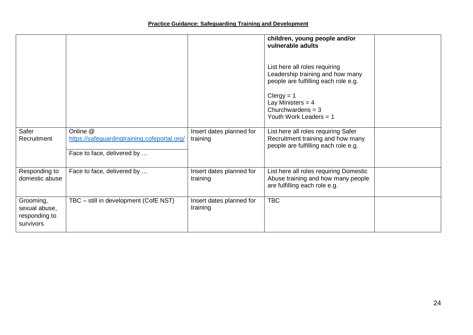|                                                          |                                                                                        |                                      | children, young people and/or<br>vulnerable adults<br>List here all roles requiring<br>Leadership training and how many<br>people are fulfilling each role e.g.<br>$Clergy = 1$<br>Lay Ministers = $4$<br>Churchwardens = $3$<br>Youth Work Leaders = 1 |  |
|----------------------------------------------------------|----------------------------------------------------------------------------------------|--------------------------------------|---------------------------------------------------------------------------------------------------------------------------------------------------------------------------------------------------------------------------------------------------------|--|
| Safer<br>Recruitment                                     | Online @<br>https://safeguardingtraining.cofeportal.org/<br>Face to face, delivered by | Insert dates planned for<br>training | List here all roles requiring Safer<br>Recruitment training and how many<br>people are fulfilling each role e.g.                                                                                                                                        |  |
| Responding to<br>domestic abuse                          | Face to face, delivered by                                                             | Insert dates planned for<br>training | List here all roles requiring Domestic<br>Abuse training and how many people<br>are fulfilling each role e.g.                                                                                                                                           |  |
| Grooming,<br>sexual abuse,<br>responding to<br>survivors | TBC - still in development (CofE NST)                                                  | Insert dates planned for<br>training | <b>TBC</b>                                                                                                                                                                                                                                              |  |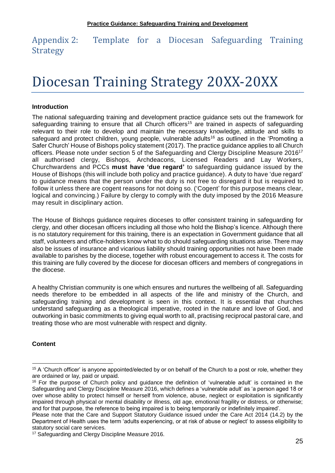<span id="page-24-0"></span>Appendix 2: Template for a Diocesan Safeguarding Training Strategy

# Diocesan Training Strategy 20XX-20XX

#### **Introduction**

The national safeguarding training and development practice guidance sets out the framework for safeguarding training to ensure that all Church officers<sup>15</sup> are trained in aspects of safeguarding relevant to their role to develop and maintain the necessary knowledge, attitude and skills to safeguard and protect children, young people, vulnerable adults<sup>16</sup> as outlined in the 'Promoting a Safer Church' House of Bishops policy statement (2017). The practice guidance applies to all Church officers. Please note under section 5 of the Safeguarding and Clergy Discipline Measure 2016<sup>17</sup> all authorised clergy, Bishops, Archdeacons, Licensed Readers and Lay Workers, Churchwardens and PCCs **must have 'due regard'** to safeguarding guidance issued by the House of Bishops (this will include both policy and practice guidance). A duty to have 'due regard' to guidance means that the person under the duty is not free to disregard it but is required to follow it unless there are cogent reasons for not doing so. ('Cogent' for this purpose means clear, logical and convincing.) Failure by clergy to comply with the duty imposed by the 2016 Measure may result in disciplinary action.

The House of Bishops guidance requires dioceses to offer consistent training in safeguarding for clergy, and other diocesan officers including all those who hold the Bishop's licence. Although there is no statutory requirement for this training, there is an expectation in Government guidance that all staff, volunteers and office-holders know what to do should safeguarding situations arise. There may also be issues of insurance and vicarious liability should training opportunities not have been made available to parishes by the diocese, together with robust encouragement to access it. The costs for this training are fully covered by the diocese for diocesan officers and members of congregations in the diocese.

A healthy Christian community is one which ensures and nurtures the wellbeing of all. Safeguarding needs therefore to be embedded in all aspects of the life and ministry of the Church, and safeguarding training and development is seen in this context. It is essential that churches understand safeguarding as a theological imperative, rooted in the nature and love of God, and outworking in basic commitments to giving equal worth to all, practising reciprocal pastoral care, and treating those who are most vulnerable with respect and dignity.

#### **Content**

 $\overline{a}$ <sup>15</sup> A 'Church officer' is anyone appointed/elected by or on behalf of the Church to a post or role, whether they are ordained or lay, paid or unpaid.

<sup>&</sup>lt;sup>16</sup> For the purpose of Church policy and guidance the definition of 'vulnerable adult' is contained in the Safeguarding and Clergy Discipline Measure 2016, which defines a 'vulnerable adult' as 'a person aged 18 or over whose ability to protect himself or herself from violence, abuse, neglect or exploitation is significantly impaired through physical or mental disability or illness, old age, emotional fragility or distress, or otherwise; and for that purpose, the reference to being impaired is to being temporarily or indefinitely impaired'.

Please note that the Care and Support Statutory Guidance issued under the Care Act 2014 (14.2) by the Department of Health uses the term 'adults experiencing, or at risk of abuse or neglect' to assess eligibility to statutory social care services.

<sup>&</sup>lt;sup>17</sup> Safeguarding and Clergy Discipline Measure 2016.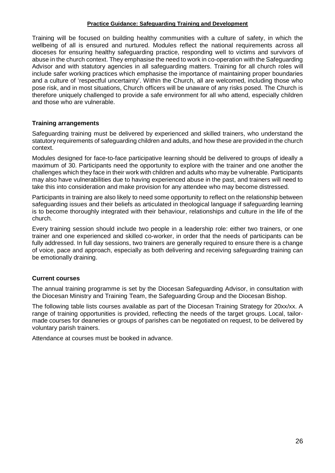Training will be focused on building healthy communities with a culture of safety, in which the wellbeing of all is ensured and nurtured. Modules reflect the national requirements across all dioceses for ensuring healthy safeguarding practice, responding well to victims and survivors of abuse in the church context. They emphasise the need to work in co-operation with the Safeguarding Advisor and with statutory agencies in all safeguarding matters. Training for all church roles will include safer working practices which emphasise the importance of maintaining proper boundaries and a culture of 'respectful uncertainty'. Within the Church, all are welcomed, including those who pose risk, and in most situations, Church officers will be unaware of any risks posed. The Church is therefore uniquely challenged to provide a safe environment for all who attend, especially children and those who are vulnerable.

#### **Training arrangements**

Safeguarding training must be delivered by experienced and skilled trainers, who understand the statutory requirements of safeguarding children and adults, and how these are provided in the church context.

Modules designed for face-to-face participative learning should be delivered to groups of ideally a maximum of 30. Participants need the opportunity to explore with the trainer and one another the challenges which they face in their work with children and adults who may be vulnerable. Participants may also have vulnerabilities due to having experienced abuse in the past, and trainers will need to take this into consideration and make provision for any attendee who may become distressed.

Participants in training are also likely to need some opportunity to reflect on the relationship between safeguarding issues and their beliefs as articulated in theological language if safeguarding learning is to become thoroughly integrated with their behaviour, relationships and culture in the life of the church.

Every training session should include two people in a leadership role: either two trainers, or one trainer and one experienced and skilled co-worker, in order that the needs of participants can be fully addressed. In full day sessions, two trainers are generally required to ensure there is a change of voice, pace and approach, especially as both delivering and receiving safeguarding training can be emotionally draining.

#### **Current courses**

The annual training programme is set by the Diocesan Safeguarding Advisor, in consultation with the Diocesan Ministry and Training Team, the Safeguarding Group and the Diocesan Bishop.

The following table lists courses available as part of the Diocesan Training Strategy for 20xx/xx. A range of training opportunities is provided, reflecting the needs of the target groups. Local, tailormade courses for deaneries or groups of parishes can be negotiated on request, to be delivered by voluntary parish trainers.

Attendance at courses must be booked in advance.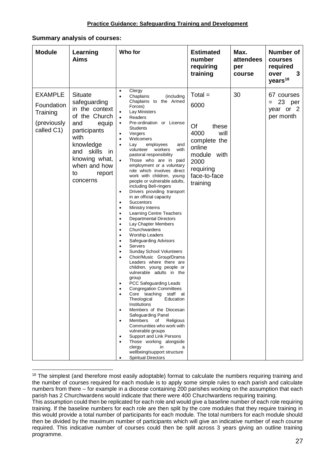#### **Summary analysis of courses:**

| <b>Module</b>                                                         | Learning<br><b>Aims</b>                                                                                                                                                                                  | Who for                                                                                                                                                                                                                                                                                                                                                                                                                                                                                                                                                                                                                                                                                                                                                                                                                                                                                                                                                                                                                                                                                                                                                                                                                                                                                                                                                                                                                                                                                              | <b>Estimated</b><br>number<br>requiring<br>training                                                                                        | Max.<br>attendees<br>per<br>course | Number of<br>courses<br>required<br>over<br>3<br>years <sup>18</sup> |
|-----------------------------------------------------------------------|----------------------------------------------------------------------------------------------------------------------------------------------------------------------------------------------------------|------------------------------------------------------------------------------------------------------------------------------------------------------------------------------------------------------------------------------------------------------------------------------------------------------------------------------------------------------------------------------------------------------------------------------------------------------------------------------------------------------------------------------------------------------------------------------------------------------------------------------------------------------------------------------------------------------------------------------------------------------------------------------------------------------------------------------------------------------------------------------------------------------------------------------------------------------------------------------------------------------------------------------------------------------------------------------------------------------------------------------------------------------------------------------------------------------------------------------------------------------------------------------------------------------------------------------------------------------------------------------------------------------------------------------------------------------------------------------------------------------|--------------------------------------------------------------------------------------------------------------------------------------------|------------------------------------|----------------------------------------------------------------------|
| <b>EXAMPLE</b><br>Foundation<br>Training<br>(previously<br>called C1) | <b>Situate</b><br>safeguarding<br>in the context<br>of the Church<br>and<br>equip<br>participants<br>with<br>knowledge<br>and skills<br>in.<br>knowing what,<br>when and how<br>report<br>to<br>concerns | Clergy<br>$\bullet$<br>Chaplains<br>(including<br>$\bullet$<br>Chaplains to the Armed<br>Forces)<br>Lay Ministers<br>$\bullet$<br>Readers<br>$\bullet$<br>Pre-ordination or License<br>$\bullet$<br><b>Students</b><br>Vergers<br>$\bullet$<br>Welcomers<br>$\bullet$<br>Lay<br>employees<br>and<br>with<br>volunteer<br>workers<br>pastoral responsibility<br>Those who are in paid<br>employment or a voluntary<br>role which involves direct<br>work with children, young<br>people or vulnerable adults,<br>including Bell-ringers<br>Drivers providing transport<br>$\bullet$<br>in an official capacity<br>Succentors<br>$\bullet$<br>Ministry Interns<br>٠<br>Learning Centre Teachers<br>Departmental Directors<br>$\bullet$<br>Lay Chapter Members<br>Churchwardens<br>$\bullet$<br><b>Worship Leaders</b><br>$\bullet$<br>Safeguarding Advisors<br><b>Servers</b><br>Sunday School Volunteers<br>٠<br>Choir/Music Group/Drama<br>Leaders where there are<br>children, young people or<br>vulnerable adults in the<br>group<br>PCC Safeguarding Leads<br><b>Congregation Committees</b><br>Core teaching staff at<br>Theological<br>Education<br>Institutions<br>Members of the Diocesan<br>$\bullet$<br>Safeguarding Panel<br>Members<br>of<br>Religious<br>$\bullet$<br>Communities who work with<br>vulnerable groups<br>Support and Link Persons<br>$\bullet$<br>Those working alongside<br>clergy<br>in<br>a<br>wellbeing/support structure<br><b>Spiritual Directors</b><br>$\bullet$ | $Total =$<br>6000<br>Of<br>these<br>4000<br>will<br>complete the<br>online<br>module with<br>2000<br>requiring<br>face-to-face<br>training | 30                                 | 67 courses<br>23 per<br>$=$<br>year or 2<br>per month                |

 $\overline{a}$ <sup>18</sup> The simplest (and therefore most easily adoptable) format to calculate the numbers requiring training and the number of courses required for each module is to apply some simple rules to each parish and calculate numbers from there – for example in a diocese containing 200 parishes working on the assumption that each parish has 2 Churchwardens would indicate that there were 400 Churchwardens requiring training.

This assumption could then be replicated for each role and would give a baseline number of each role requiring training. If the baseline numbers for each role are then split by the core modules that they require training in this would provide a total number of participants for each module. The total numbers for each module should then be divided by the maximum number of participants which will give an indicative number of each course required. This indicative number of courses could then be split across 3 years giving an outline training programme.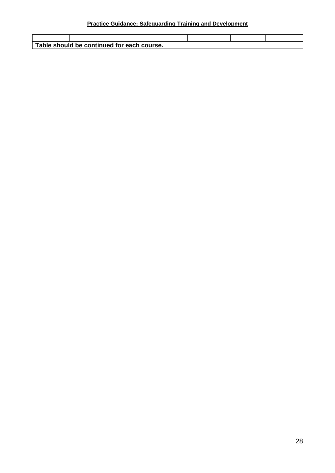**Table should be continued for each course.**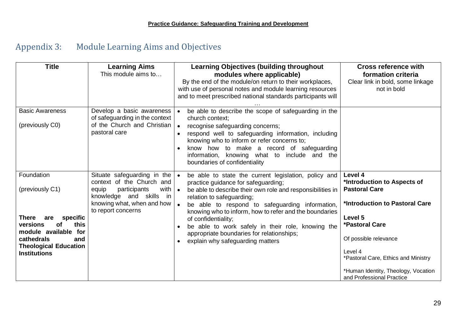# Appendix 3: Module Learning Aims and Objectives

<span id="page-28-0"></span>

| <b>Title</b>                                                                                                                                                                            | <b>Learning Aims</b><br>This module aims to                                                                                                                                                              | <b>Learning Objectives (building throughout</b><br>modules where applicable)<br>By the end of the module/on return to their workplaces,<br>with use of personal notes and module learning resources<br>and to meet prescribed national standards participants will                                                                                                                                                                                                                         | <b>Cross reference with</b><br>formation criteria<br>Clear link in bold, some linkage<br>not in bold                                                                                                                                                                         |
|-----------------------------------------------------------------------------------------------------------------------------------------------------------------------------------------|----------------------------------------------------------------------------------------------------------------------------------------------------------------------------------------------------------|--------------------------------------------------------------------------------------------------------------------------------------------------------------------------------------------------------------------------------------------------------------------------------------------------------------------------------------------------------------------------------------------------------------------------------------------------------------------------------------------|------------------------------------------------------------------------------------------------------------------------------------------------------------------------------------------------------------------------------------------------------------------------------|
| <b>Basic Awareness</b><br>(previously C0)                                                                                                                                               | Develop a basic awareness  <br>of safeguarding in the context<br>of the Church and Christian<br>pastoral care                                                                                            | be able to describe the scope of safeguarding in the<br>church context;<br>recognise safeguarding concerns;<br>$\bullet$<br>respond well to safeguarding information, including<br>knowing who to inform or refer concerns to;<br>know how to make a record of safeguarding<br>$\bullet$<br>information, knowing what to include and the<br>boundaries of confidentiality                                                                                                                  |                                                                                                                                                                                                                                                                              |
| Foundation<br>(previously C1)<br>There<br>specific<br>are<br>this<br>versions<br>οf<br>module available for<br>cathedrals<br>and<br><b>Theological Education</b><br><b>Institutions</b> | Situate safeguarding in the $\bullet$<br>context of the Church and<br>with $\vert \bullet \vert$<br>participants<br>equip<br>knowledge and skills in<br>knowing what, when and how<br>to report concerns | be able to state the current legislation, policy and<br>practice guidance for safeguarding;<br>be able to describe their own role and responsibilities in<br>relation to safeguarding;<br>be able to respond to safeguarding information,<br>knowing who to inform, how to refer and the boundaries<br>of confidentiality;<br>be able to work safely in their role, knowing the<br>$\bullet$<br>appropriate boundaries for relationships;<br>explain why safeguarding matters<br>$\bullet$ | Level 4<br>*Introduction to Aspects of<br><b>Pastoral Care</b><br>*Introduction to Pastoral Care<br>Level 5<br>*Pastoral Care<br>Of possible relevance<br>Level 4<br>*Pastoral Care, Ethics and Ministry<br>*Human Identity, Theology, Vocation<br>and Professional Practice |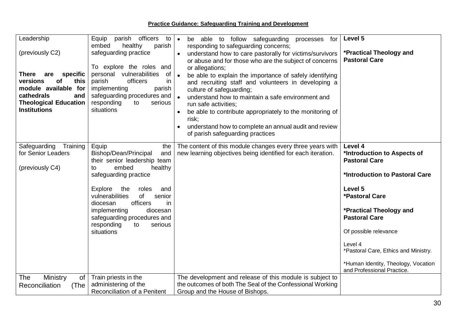**Practice Guidance: Safeguarding Training and Development**

| Leadership<br>(previously C2)<br>specific<br>There<br>are<br><b>of</b><br>versions<br>this<br>module available for<br>cathedrals<br>and<br><b>Theological Education</b><br><b>Institutions</b> | officers<br>Equip<br>parish<br>to<br>embed<br>healthy<br>parish<br>safeguarding practice<br>To explore the roles and<br>personal vulnerabilities<br>of<br>officers<br>parish<br>in<br>implementing<br>parish<br>safeguarding procedures and<br>responding<br>to<br>serious<br>situations                                                   | be able to follow safeguarding<br>for<br>processes<br>$\bullet$<br>responding to safeguarding concerns;<br>understand how to care pastorally for victims/survivors<br>or abuse and for those who are the subject of concerns<br>or allegations;<br>be able to explain the importance of safely identifying<br>and recruiting staff and volunteers in developing a<br>culture of safeguarding;<br>understand how to maintain a safe environment and<br>run safe activities;<br>be able to contribute appropriately to the monitoring of<br>risk:<br>understand how to complete an annual audit and review<br>of parish safeguarding practices | Level 5<br>*Practical Theology and<br><b>Pastoral Care</b>                                                                                                                                                                                                                                                                               |
|------------------------------------------------------------------------------------------------------------------------------------------------------------------------------------------------|--------------------------------------------------------------------------------------------------------------------------------------------------------------------------------------------------------------------------------------------------------------------------------------------------------------------------------------------|----------------------------------------------------------------------------------------------------------------------------------------------------------------------------------------------------------------------------------------------------------------------------------------------------------------------------------------------------------------------------------------------------------------------------------------------------------------------------------------------------------------------------------------------------------------------------------------------------------------------------------------------|------------------------------------------------------------------------------------------------------------------------------------------------------------------------------------------------------------------------------------------------------------------------------------------------------------------------------------------|
| Training<br>Safeguarding<br>for Senior Leaders<br>(previously C4)                                                                                                                              | Equip<br>the<br>Bishop/Dean/Principal<br>and<br>their senior leadership team<br>healthy<br>embed<br>to<br>safeguarding practice<br>Explore<br>the<br>roles<br>and<br>of<br>vulnerabilities<br>senior<br>officers<br>diocesan<br>in<br>implementing<br>diocesan<br>safeguarding procedures and<br>responding<br>serious<br>to<br>situations | The content of this module changes every three years with<br>new learning objectives being identified for each iteration.                                                                                                                                                                                                                                                                                                                                                                                                                                                                                                                    | Level 4<br>*Introduction to Aspects of<br><b>Pastoral Care</b><br>*Introduction to Pastoral Care<br>Level 5<br><b>*Pastoral Care</b><br>*Practical Theology and<br><b>Pastoral Care</b><br>Of possible relevance<br>Level 4<br>*Pastoral Care, Ethics and Ministry.<br>*Human Identity, Theology, Vocation<br>and Professional Practice. |
| The<br>Ministry<br>of<br>Reconciliation<br>(The                                                                                                                                                | Train priests in the<br>administering of the<br>Reconciliation of a Penitent                                                                                                                                                                                                                                                               | The development and release of this module is subject to<br>the outcomes of both The Seal of the Confessional Working<br>Group and the House of Bishops.                                                                                                                                                                                                                                                                                                                                                                                                                                                                                     |                                                                                                                                                                                                                                                                                                                                          |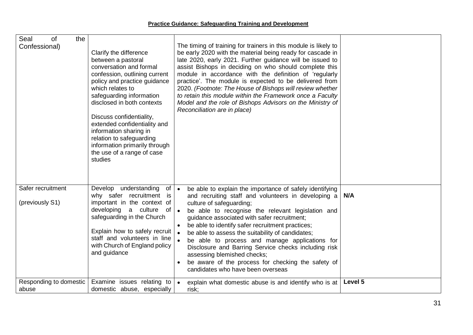| Seal<br>the<br><b>of</b><br>Confessional) | Clarify the difference<br>between a pastoral<br>conversation and formal<br>confession, outlining current<br>policy and practice guidance<br>which relates to<br>safeguarding information<br>disclosed in both contexts<br>Discuss confidentiality,<br>extended confidentiality and<br>information sharing in<br>relation to safeguarding<br>information primarily through<br>the use of a range of case<br>studies | The timing of training for trainers in this module is likely to<br>be early 2020 with the material being ready for cascade in<br>late 2020, early 2021. Further guidance will be issued to<br>assist Bishops in deciding on who should complete this<br>module in accordance with the definition of 'regularly<br>practice'. The module is expected to be delivered from<br>2020. (Footnote: The House of Bishops will review whether<br>to retain this module within the Framework once a Faculty<br>Model and the role of Bishops Advisors on the Ministry of<br>Reconciliation are in place)                      |         |
|-------------------------------------------|--------------------------------------------------------------------------------------------------------------------------------------------------------------------------------------------------------------------------------------------------------------------------------------------------------------------------------------------------------------------------------------------------------------------|----------------------------------------------------------------------------------------------------------------------------------------------------------------------------------------------------------------------------------------------------------------------------------------------------------------------------------------------------------------------------------------------------------------------------------------------------------------------------------------------------------------------------------------------------------------------------------------------------------------------|---------|
| Safer recruitment<br>(previously S1)      | Develop understanding<br>$of \bullet$<br>why safer recruitment is<br>important in the context of<br>developing a culture<br>of<br>safeguarding in the Church<br>Explain how to safely recruit<br>staff and volunteers in line<br>with Church of England policy<br>and guidance                                                                                                                                     | be able to explain the importance of safely identifying<br>and recruiting staff and volunteers in developing a<br>culture of safeguarding;<br>be able to recognise the relevant legislation and<br>$\bullet$<br>guidance associated with safer recruitment;<br>be able to identify safer recruitment practices;<br>$\bullet$<br>be able to assess the suitability of candidates;<br>be able to process and manage applications for<br>Disclosure and Barring Service checks including risk<br>assessing blemished checks;<br>be aware of the process for checking the safety of<br>candidates who have been overseas | N/A     |
| Responding to domestic<br>abuse           | Examine issues relating to $\bullet$<br>domestic abuse, especially                                                                                                                                                                                                                                                                                                                                                 | explain what domestic abuse is and identify who is at<br>risk;                                                                                                                                                                                                                                                                                                                                                                                                                                                                                                                                                       | Level 5 |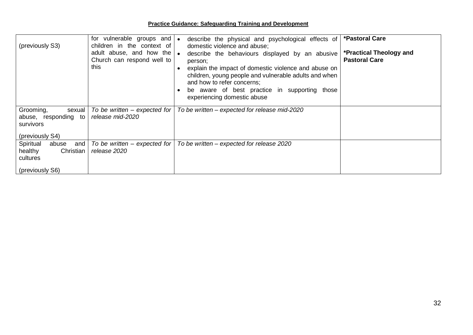| (previously S3)                                                                  | for vulnerable groups and   •<br>children in the context of<br>adult abuse, and how the $\bullet$<br>Church can respond well to<br>this | describe the physical and psychological effects of<br>domestic violence and abuse;<br>describe the behaviours displayed by an abusive<br>person;<br>explain the impact of domestic violence and abuse on<br>children, young people and vulnerable adults and when<br>and how to refer concerns;<br>be aware of best practice in supporting those<br>experiencing domestic abuse | *Pastoral Care<br>*Practical Theology and<br><b>Pastoral Care</b> |
|----------------------------------------------------------------------------------|-----------------------------------------------------------------------------------------------------------------------------------------|---------------------------------------------------------------------------------------------------------------------------------------------------------------------------------------------------------------------------------------------------------------------------------------------------------------------------------------------------------------------------------|-------------------------------------------------------------------|
| Grooming,<br>sexual<br>abuse, responding to<br>survivors<br>(previously S4)      | To be written – expected for<br>release mid-2020                                                                                        | To be written - expected for release mid-2020                                                                                                                                                                                                                                                                                                                                   |                                                                   |
| Spiritual<br>abuse<br>and<br>healthy<br>Christian<br>cultures<br>(previously S6) | To be written – expected for<br>release 2020                                                                                            | To be written - expected for release 2020                                                                                                                                                                                                                                                                                                                                       |                                                                   |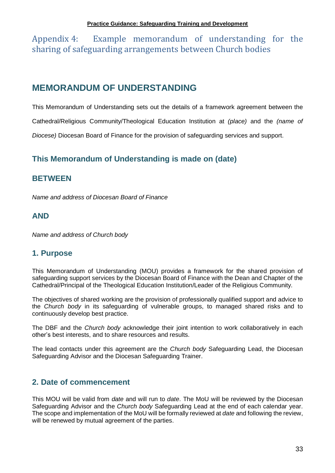<span id="page-32-0"></span>Appendix 4: Example memorandum of understanding for the sharing of safeguarding arrangements between Church bodies

# **MEMORANDUM OF UNDERSTANDING**

This Memorandum of Understanding sets out the details of a framework agreement between the Cathedral/Religious Community/Theological Education Institution at *(place)* and the *(name of Diocese)* Diocesan Board of Finance for the provision of safeguarding services and support.

# **This Memorandum of Understanding is made on (date)**

# **BETWEEN**

*Name and address of Diocesan Board of Finance*

# **AND**

*Name and address of Church body*

# **1. Purpose**

This Memorandum of Understanding (MOU) provides a framework for the shared provision of safeguarding support services by the Diocesan Board of Finance with the Dean and Chapter of the Cathedral/Principal of the Theological Education Institution/Leader of the Religious Community.

The objectives of shared working are the provision of professionally qualified support and advice to the *Church body* in its safeguarding of vulnerable groups, to managed shared risks and to continuously develop best practice.

The DBF and the *Church body* acknowledge their joint intention to work collaboratively in each other's best interests, and to share resources and results.

The lead contacts under this agreement are the *Church body* Safeguarding Lead, the Diocesan Safeguarding Advisor and the Diocesan Safeguarding Trainer.

# **2. Date of commencement**

This MOU will be valid from *date* and will run to *date*. The MoU will be reviewed by the Diocesan Safeguarding Advisor and the *Church body* Safeguarding Lead at the end of each calendar year. The scope and implementation of the MoU will be formally reviewed at *date* and following the review, will be renewed by mutual agreement of the parties.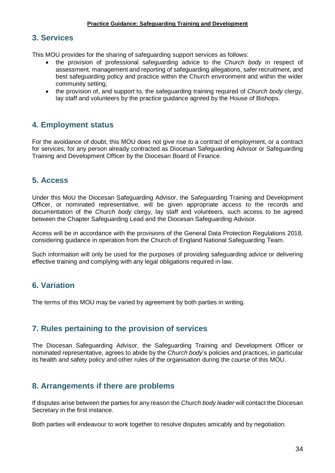#### **3. Services**

This MOU provides for the sharing of safeguarding support services as follows:

- the provision of professional safeguarding advice to the *Church body* in respect of assessment, management and reporting of safeguarding allegations, safer recruitment, and best safeguarding policy and practice within the Church environment and within the wider community setting;
- the provision of, and support to, the safeguarding training required of *Church body* clergy, lay staff and volunteers by the practice guidance agreed by the House of Bishops.

## **4. Employment status**

For the avoidance of doubt, this MOU does not give rise to a contract of employment, or a contract for services, for any person already contracted as Diocesan Safeguarding Advisor or Safeguarding Training and Development Officer by the Diocesan Board of Finance.

## **5. Access**

Under this MoU the Diocesan Safeguarding Advisor, the Safeguarding Training and Development Officer, or nominated representative, will be given appropriate access to the records and documentation of the *Church body* clergy, lay staff and volunteers, such access to be agreed between the Chapter Safeguarding Lead and the Diocesan Safeguarding Advisor.

Access will be in accordance with the provisions of the General Data Protection Regulations 2018, considering guidance in operation from the Church of England National Safeguarding Team.

Such information will only be used for the purposes of providing safeguarding advice or delivering effective training and complying with any legal obligations required in law.

# **6. Variation**

The terms of this MOU may be varied by agreement by both parties in writing.

## **7. Rules pertaining to the provision of services**

The Diocesan Safeguarding Advisor, the Safeguarding Training and Development Officer or nominated representative, agrees to abide by the *Church body*'s policies and practices, in particular its health and safety policy and other rules of the organisation during the course of this MOU.

## **8. Arrangements if there are problems**

If disputes arise between the parties for any reason the *Church body leader* will contact the Diocesan Secretary in the first instance.

Both parties will endeavour to work together to resolve disputes amicably and by negotiation.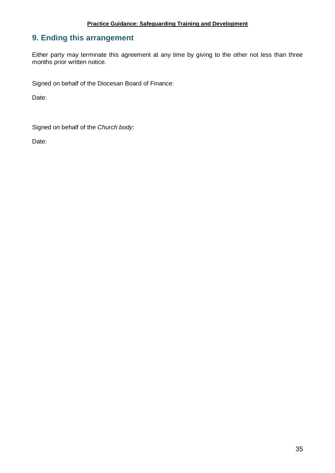# **9. Ending this arrangement**

Either party may terminate this agreement at any time by giving to the other not less than three months prior written notice.

Signed on behalf of the Diocesan Board of Finance:

Date:

Signed on behalf of the *Church body*:

Date: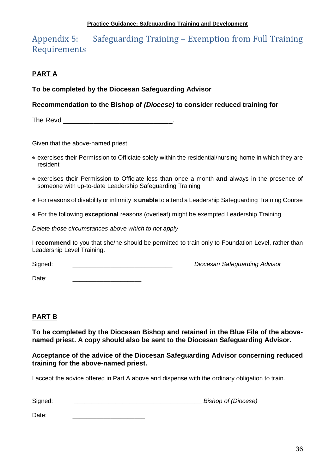# <span id="page-35-0"></span>Appendix 5: Safeguarding Training – Exemption from Full Training Requirements

# **PART A**

## **To be completed by the Diocesan Safeguarding Advisor**

## **Recommendation to the Bishop of** *(Diocese)* **to consider reduced training for**

The Revd **Example 20**  $\blacksquare$ 

Given that the above-named priest:

- exercises their Permission to Officiate solely within the residential/nursing home in which they are resident
- exercises their Permission to Officiate less than once a month **and** always in the presence of someone with up-to-date Leadership Safeguarding Training
- For reasons of disability or infirmity is **unable** to attend a Leadership Safeguarding Training Course
- For the following **exceptional** reasons (overleaf) might be exempted Leadership Training

*Delete those circumstances above which to not apply*

I **recommend** to you that she/he should be permitted to train only to Foundation Level, rather than Leadership Level Training.

Signed: \_\_\_\_\_\_\_\_\_\_\_\_\_\_\_\_\_\_\_\_\_\_\_\_\_\_\_\_\_ *Diocesan Safeguarding Advisor*

Date:

## **PART B**

**To be completed by the Diocesan Bishop and retained in the Blue File of the abovenamed priest. A copy should also be sent to the Diocesan Safeguarding Advisor.**

**Acceptance of the advice of the Diocesan Safeguarding Advisor concerning reduced training for the above-named priest.**

I accept the advice offered in Part A above and dispense with the ordinary obligation to train.

| Signed: | <b>Bishop of (Diocese)</b> |
|---------|----------------------------|
|         |                            |

Date: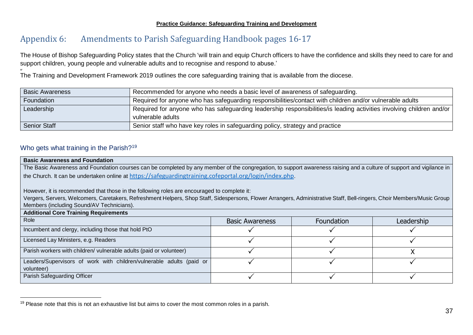# Appendix 6: Amendments to Parish Safeguarding Handbook pages 16-17

The House of Bishop Safeguarding Policy states that the Church 'will train and equip Church officers to have the confidence and skills they need to care for and support children, young people and vulnerable adults and to recognise and respond to abuse.'

*w* The Training and Development Framework 2019 outlines the core safeguarding training that is available from the diocese.

| <b>Basic Awareness</b> | Recommended for anyone who needs a basic level of awareness of safeguarding.                                                              |
|------------------------|-------------------------------------------------------------------------------------------------------------------------------------------|
| Foundation             | Required for anyone who has safeguarding responsibilities/contact with children and/or vulnerable adults                                  |
| Leadership             | Required for anyone who has safeguarding leadership responsibilities/is leading activities involving children and/or<br>vulnerable adults |
| <b>Senior Staff</b>    | Senior staff who have key roles in safeguarding policy, strategy and practice                                                             |

#### Who gets what training in the Parish?<sup>19</sup>

l

<span id="page-36-0"></span>

| <b>Basic Awareness and Foundation</b>                                                                                                                                   |                        |            |            |  |  |  |
|-------------------------------------------------------------------------------------------------------------------------------------------------------------------------|------------------------|------------|------------|--|--|--|
| The Basic Awareness and Foundation courses can be completed by any member of the congregation, to support awareness raising and a culture of support and vigilance in   |                        |            |            |  |  |  |
| the Church. It can be undertaken online at https://safeguardingtraining.cofeportal.org/login/index.php.                                                                 |                        |            |            |  |  |  |
|                                                                                                                                                                         |                        |            |            |  |  |  |
| However, it is recommended that those in the following roles are encouraged to complete it:                                                                             |                        |            |            |  |  |  |
| Vergers, Servers, Welcomers, Caretakers, Refreshment Helpers, Shop Staff, Sidespersons, Flower Arrangers, Administrative Staff, Bell-ringers, Choir Members/Music Group |                        |            |            |  |  |  |
| Members (including Sound/AV Technicians).                                                                                                                               |                        |            |            |  |  |  |
| <b>Additional Core Training Requirements</b>                                                                                                                            |                        |            |            |  |  |  |
| Role                                                                                                                                                                    | <b>Basic Awareness</b> | Foundation | Leadership |  |  |  |
| Incumbent and clergy, including those that hold PtO                                                                                                                     |                        |            |            |  |  |  |
| Licensed Lay Ministers, e.g. Readers                                                                                                                                    |                        |            |            |  |  |  |
| Parish workers with children/ vulnerable adults (paid or volunteer)                                                                                                     |                        |            |            |  |  |  |
| Leaders/Supervisors of work with children/vulnerable adults (paid or                                                                                                    |                        |            |            |  |  |  |
| volunteer)                                                                                                                                                              |                        |            |            |  |  |  |
| Parish Safeguarding Officer                                                                                                                                             |                        |            |            |  |  |  |

<sup>&</sup>lt;sup>19</sup> Please note that this is not an exhaustive list but aims to cover the most common roles in a parish.